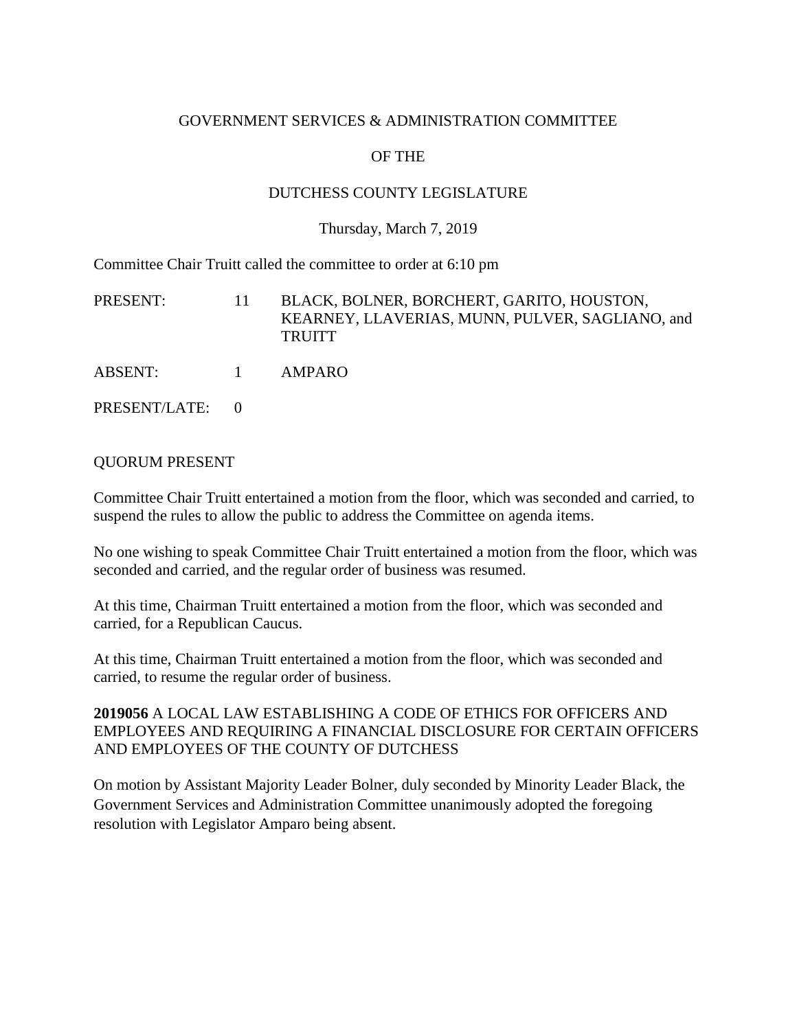## GOVERNMENT SERVICES & ADMINISTRATION COMMITTEE

# OF THE

## DUTCHESS COUNTY LEGISLATURE

#### Thursday, March 7, 2019

Committee Chair Truitt called the committee to order at 6:10 pm

| PRESENT:      | 11       | BLACK, BOLNER, BORCHERT, GARITO, HOUSTON,<br>KEARNEY, LLAVERIAS, MUNN, PULVER, SAGLIANO, and<br><b>TRUITT</b> |
|---------------|----------|---------------------------------------------------------------------------------------------------------------|
| ABSENT:       | $\sim$ 1 | AMPARO                                                                                                        |
| PRESENT/LATE: |          |                                                                                                               |

## QUORUM PRESENT

Committee Chair Truitt entertained a motion from the floor, which was seconded and carried, to suspend the rules to allow the public to address the Committee on agenda items.

No one wishing to speak Committee Chair Truitt entertained a motion from the floor, which was seconded and carried, and the regular order of business was resumed.

At this time, Chairman Truitt entertained a motion from the floor, which was seconded and carried, for a Republican Caucus.

At this time, Chairman Truitt entertained a motion from the floor, which was seconded and carried, to resume the regular order of business.

## **2019056** A LOCAL LAW ESTABLISHING A CODE OF ETHICS FOR OFFICERS AND EMPLOYEES AND REQUIRING A FINANCIAL DISCLOSURE FOR CERTAIN OFFICERS AND EMPLOYEES OF THE COUNTY OF DUTCHESS

On motion by Assistant Majority Leader Bolner, duly seconded by Minority Leader Black, the Government Services and Administration Committee unanimously adopted the foregoing resolution with Legislator Amparo being absent.